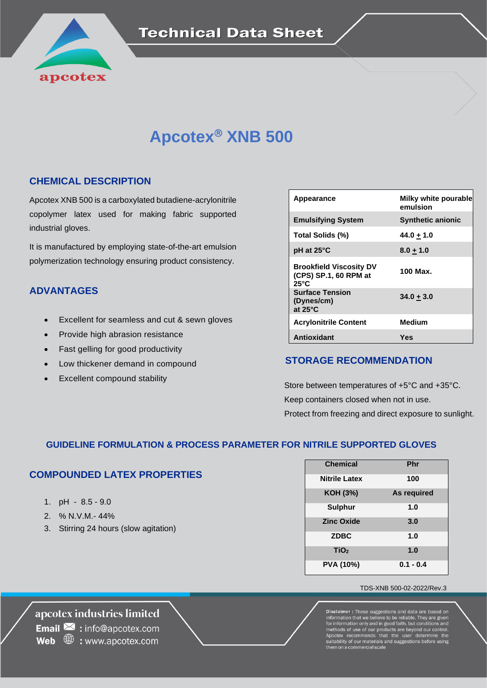

# **Apcotex<sup>®</sup> XNB 500**

#### **CHEMICAL DESCRIPTION**

Apcotex XNB 500 is a carboxylated butadiene-acrylonitrile copolymer latex used for making fabric supported industrial gloves.

It is manufactured by employing state-of-the-art emulsion polymerization technology ensuring product consistency.

#### **ADVANTAGES**

- Excellent for seamless and cut & sewn gloves
- Provide high abrasion resistance
- Fast gelling for good productivity
- Low thickener demand in compound
- Excellent compound stability

| Appearance                                                                | Milky white pourable<br>emulsion |
|---------------------------------------------------------------------------|----------------------------------|
| <b>Emulsifying System</b>                                                 | <b>Synthetic anionic</b>         |
| Total Solids (%)                                                          | $44.0 + 1.0$                     |
| pH at 25°C                                                                | $8.0 + 1.0$                      |
| <b>Brookfield Viscosity DV</b><br>(CPS) SP.1, 60 RPM at<br>$25^{\circ}$ C | 100 Max.                         |
| <b>Surface Tension</b><br>(Dynes/cm)<br>at $25^{\circ}$ C                 | $34.0 + 3.0$                     |
| <b>Acrylonitrile Content</b>                                              | <b>Medium</b>                    |
| <b>Antioxidant</b>                                                        | Yes                              |

### **STORAGE RECOMMENDATION**

 Store between temperatures of +5°C and +35°C. Keep containers closed when not in use. Protect from freezing and direct exposure to sunlight.

#### **GUIDELINE FORMULATION & PROCESS PARAMETER FOR NITRILE SUPPORTED GLOVES**

### **COMPOUNDED LATEX PROPERTIES**

- 1. pH 8.5 9.0
- 2. % N.V.M.- 44%
- 3. Stirring 24 hours (slow agitation)

| <b>Chemical</b>      | Phr         |
|----------------------|-------------|
| <b>Nitrile Latex</b> | 100         |
| KOH (3%)             | As required |
| <b>Sulphur</b>       | 1.0         |
| <b>Zinc Oxide</b>    | 3.0         |
| <b>ZDBC</b>          | 1.0         |
| TiO <sub>2</sub>     | 1.0         |
| <b>PVA (10%)</b>     | $0.1 - 0.4$ |

#### TDS-XNB 500-02-2022/Rev.3

**Disclaimer :** These suggestions and data are based on information that we believe to be reliable. They are given for information only and in good faith, but conditions and methods of use of our products are beyond our con .<br>suitability of our materials and suggestions be<br>hem on a commercial scale

apcotex industries limited **Email**  $\ge$  : info@apcotex.com **Web**  $\oplus$  : www.apcotex.com